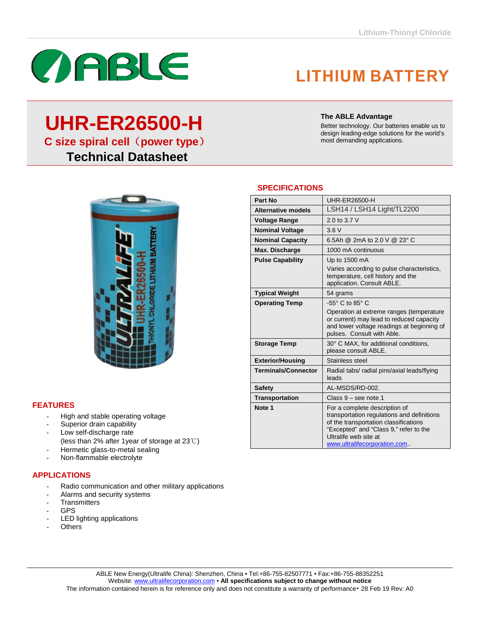## **LITHIUM BATTERY**

Better technology. Our batteries enable us to design leading-edge solutions for the world's

**The ABLE Advantage**

most demanding applications.

# **UHR-ER26500-H**

**C size spiral cell**(**power type**)

 **Technical Datasheet**



### **SPECIFICATIONS**

| Part No                    | UHR-FR26500-H                                                                                                                                                                                                           |
|----------------------------|-------------------------------------------------------------------------------------------------------------------------------------------------------------------------------------------------------------------------|
| <b>Alternative models</b>  | LSH14 / LSH14 Light/TL2200                                                                                                                                                                                              |
| <b>Voltage Range</b>       | 2.0 to 3.7 V                                                                                                                                                                                                            |
| <b>Nominal Voltage</b>     | 3.6V                                                                                                                                                                                                                    |
| <b>Nominal Capacity</b>    | 6.5Ah @ 2mA to 2.0 V @ 23° C                                                                                                                                                                                            |
| Max. Discharge             | 1000 mA continuous                                                                                                                                                                                                      |
| <b>Pulse Capability</b>    | Up to 1500 mA                                                                                                                                                                                                           |
|                            | Varies according to pulse characteristics,<br>temperature, cell history and the<br>application. Consult ABLE.                                                                                                           |
| <b>Typical Weight</b>      | 54 grams                                                                                                                                                                                                                |
| <b>Operating Temp</b>      | $-55^\circ$ C to 85 $^\circ$ C                                                                                                                                                                                          |
|                            | Operation at extreme ranges (temperature<br>or current) may lead to reduced capacity<br>and lower voltage readings at beginning of<br>pulses. Consult with Able.                                                        |
| <b>Storage Temp</b>        | 30° C MAX, for additional conditions,<br>please consult ABLE.                                                                                                                                                           |
| <b>Exterior/Housing</b>    | Stainless steel                                                                                                                                                                                                         |
| <b>Terminals/Connector</b> | Radial tabs/ radial pins/axial leads/flying<br>leads                                                                                                                                                                    |
| <b>Safety</b>              | AL-MSDS/RD-002.                                                                                                                                                                                                         |
| <b>Transportation</b>      | Class $9$ – see note 1                                                                                                                                                                                                  |
| Note <sub>1</sub>          | For a complete description of<br>transportation regulations and definitions<br>of the transportation classifications<br>"Excepted" and "Class 9," refer to the<br>Ultralife web site at<br>www.ultralifecorporation.com |

#### **FEATURES**

- High and stable operating voltage
- Superior drain capability
- Low self-discharge rate
- (less than 2% after 1year of storage at 23℃)
- Hermetic glass-to-metal sealing
- Non-flammable electrolyte

#### **APPLICATIONS**

- Radio communication and other military applications
- Alarms and security systems
- **Transmitters**
- GPS
- LED lighting applications
- Others